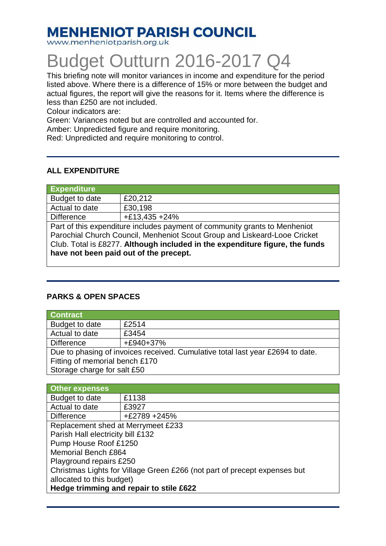## **MENHENIOT PARISH COUNCIL**

www.menheniotparish.org.uk

# Budget Outturn 2016-2017 Q4

This briefing note will monitor variances in income and expenditure for the period listed above. Where there is a difference of 15% or more between the budget and actual figures, the report will give the reasons for it. Items where the difference is less than £250 are not included.

Colour indicators are:

Green: Variances noted but are controlled and accounted for.

Amber: Unpredicted figure and require monitoring.

Red: Unpredicted and require monitoring to control.

#### **ALL EXPENDITURE**

| <b>Expenditure</b>                                                           |                 |  |  |  |  |
|------------------------------------------------------------------------------|-----------------|--|--|--|--|
| Budget to date                                                               | £20,212         |  |  |  |  |
| Actual to date                                                               | £30,198         |  |  |  |  |
| <b>Difference</b>                                                            | $+£13,435 +24%$ |  |  |  |  |
| Part of this expenditure includes payment of community grants to Menheniot   |                 |  |  |  |  |
| Parochial Church Council, Menheniot Scout Group and Liskeard-Looe Cricket    |                 |  |  |  |  |
| Club. Total is £8277. Although included in the expenditure figure, the funds |                 |  |  |  |  |
| have not been paid out of the precept.                                       |                 |  |  |  |  |
|                                                                              |                 |  |  |  |  |

#### **PARKS & OPEN SPACES**

| <b>Contract</b>                                                                |           |  |  |  |  |
|--------------------------------------------------------------------------------|-----------|--|--|--|--|
| Budget to date                                                                 | £2514     |  |  |  |  |
| Actual to date                                                                 | £3454     |  |  |  |  |
| <b>Difference</b>                                                              | +£940+37% |  |  |  |  |
| Due to phasing of invoices received. Cumulative total last year £2694 to date. |           |  |  |  |  |
| Fitting of memorial bench £170                                                 |           |  |  |  |  |
| Storage charge for salt £50                                                    |           |  |  |  |  |

| Other expenses                                                            |              |  |  |  |  |  |
|---------------------------------------------------------------------------|--------------|--|--|--|--|--|
| Budget to date                                                            | £1138        |  |  |  |  |  |
| Actual to date                                                            | £3927        |  |  |  |  |  |
| <b>Difference</b>                                                         | +£2789 +245% |  |  |  |  |  |
| Replacement shed at Merrymeet £233                                        |              |  |  |  |  |  |
| Parish Hall electricity bill £132                                         |              |  |  |  |  |  |
| Pump House Roof £1250                                                     |              |  |  |  |  |  |
| <b>Memorial Bench £864</b>                                                |              |  |  |  |  |  |
| Playground repairs £250                                                   |              |  |  |  |  |  |
| Christmas Lights for Village Green £266 (not part of precept expenses but |              |  |  |  |  |  |
| allocated to this budget)                                                 |              |  |  |  |  |  |
| Hedge trimming and repair to stile £622                                   |              |  |  |  |  |  |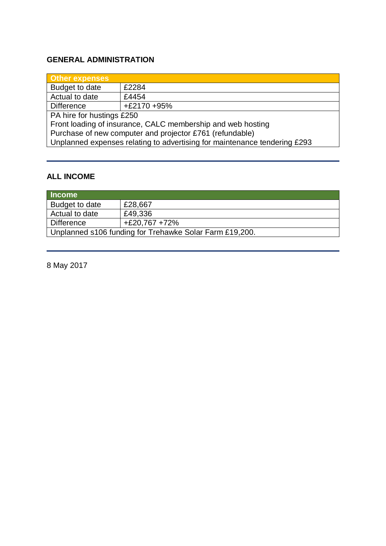#### **GENERAL ADMINISTRATION**

| Other expenses                                                            |               |  |  |  |
|---------------------------------------------------------------------------|---------------|--|--|--|
| Budget to date                                                            | £2284         |  |  |  |
| Actual to date                                                            | £4454         |  |  |  |
| <b>Difference</b>                                                         | $+£2170 +95%$ |  |  |  |
| PA hire for hustings £250                                                 |               |  |  |  |
| Front loading of insurance, CALC membership and web hosting               |               |  |  |  |
| Purchase of new computer and projector £761 (refundable)                  |               |  |  |  |
| Unplanned expenses relating to advertising for maintenance tendering £293 |               |  |  |  |
|                                                                           |               |  |  |  |

#### **ALL INCOME**

| Income                                                  |                 |  |  |
|---------------------------------------------------------|-----------------|--|--|
| Budget to date                                          | £28,667         |  |  |
| Actual to date                                          | £49,336         |  |  |
| Difference                                              | $+£20,767 +72%$ |  |  |
| Unplanned s106 funding for Trehawke Solar Farm £19,200. |                 |  |  |

8 May 2017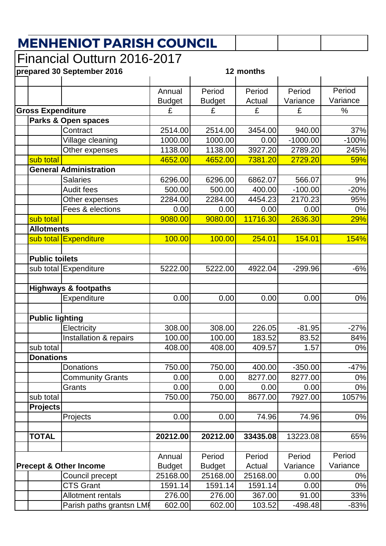## **MENHENIOT PARISH COUNCIL**

### Financial Outturn 2016-2017

|                                   | prepared 30 September 2016          | 12 months                 |                           |                    |                  |             |
|-----------------------------------|-------------------------------------|---------------------------|---------------------------|--------------------|------------------|-------------|
|                                   |                                     | Annual                    | Period                    | Period             | Period           | Period      |
|                                   |                                     | <b>Budget</b>             | <b>Budget</b>             | Actual             | Variance         | Variance    |
| <b>Gross Expenditure</b>          |                                     | £                         | £                         | £                  | £                | $\%$        |
| <b>Parks &amp; Open spaces</b>    |                                     |                           |                           |                    |                  |             |
|                                   | Contract                            | 2514.00                   | 2514.00                   | 3454.00            | 940.00           | 37%         |
|                                   | Village cleaning                    | 1000.00                   | 1000.00                   | 0.00               | $-1000.00$       | $-100%$     |
|                                   | Other expenses                      | 1138.00                   | 1138.00                   | 3927.20            | 2789.20          | 245%        |
| sub total                         |                                     | 4652.00                   | 4652.00                   | 7381.20            | 2729.20          | 59%         |
|                                   | <b>General Administration</b>       |                           |                           |                    |                  |             |
|                                   | <b>Salaries</b>                     | 6296.00                   | 6296.00                   | 6862.07            | 566.07           | 9%          |
|                                   | <b>Audit fees</b>                   | 500.00                    | 500.00                    | 400.00             | $-100.00$        | $-20%$      |
|                                   | Other expenses                      | 2284.00                   | 2284.00                   | 4454.23            | 2170.23          | 95%         |
|                                   | Fees & elections                    | 0.00                      | 0.00                      | 0.00               | 0.00             | 0%          |
| sub total                         |                                     | 9080.00                   | 9080.00                   | 11716.30           | 2636.30          | 29%         |
| <b>Allotments</b>                 |                                     |                           |                           |                    |                  |             |
|                                   | sub total Expenditure               | 100.00                    | 100.00                    | 254.01             | 154.01           | <b>154%</b> |
|                                   |                                     |                           |                           |                    |                  |             |
| <b>Public toilets</b>             |                                     |                           |                           |                    |                  |             |
|                                   | sub total Expenditure               | 5222.00                   | 5222.00                   | 4922.04            | $-299.96$        | $-6%$       |
|                                   |                                     |                           |                           |                    |                  |             |
|                                   | <b>Highways &amp; footpaths</b>     |                           |                           |                    |                  |             |
|                                   | Expenditure                         | 0.00                      | 0.00                      | 0.00               | 0.00             | 0%          |
|                                   |                                     |                           |                           |                    |                  |             |
| <b>Public lighting</b>            |                                     |                           |                           |                    |                  |             |
|                                   | Electricity                         | 308.00                    | 308.00                    | 226.05             | $-81.95$         | $-27%$      |
|                                   | Installation & repairs              | 100.00                    | 100.00                    | 183.52             | 83.52            | 84%         |
| sub total                         |                                     | 408.00                    | 408.00                    | 409.57             | 1.57             | 0%          |
| <b>Donations</b>                  |                                     |                           |                           |                    |                  |             |
|                                   | Donations                           | 750.00                    | 750.00                    | 400.00             | $-350.00$        | $-47%$      |
|                                   | <b>Community Grants</b>             | 0.00                      | 0.00                      | 8277.00            | 8277.00          | 0%          |
|                                   | Grants                              | 0.00                      | 0.00                      | 0.00               | 0.00             | 0%          |
| sub total                         |                                     | 750.00                    | 750.00                    | 8677.00            | 7927.00          | 1057%       |
| <b>Projects</b>                   |                                     |                           |                           |                    |                  |             |
|                                   | Projects                            | 0.00                      | 0.00                      | 74.96              | 74.96            | 0%          |
|                                   |                                     |                           |                           |                    |                  |             |
| <b>TOTAL</b>                      |                                     | 20212.00                  | 20212.00                  | 33435.08           | 13223.08         | 65%         |
|                                   |                                     |                           |                           |                    | Period           | Period      |
|                                   |                                     | Annual                    | Period                    | Period             |                  | Variance    |
| <b>Precept &amp; Other Income</b> |                                     | <b>Budget</b><br>25168.00 | <b>Budget</b><br>25168.00 | Actual<br>25168.00 | Variance<br>0.00 | 0%          |
|                                   | Council precept<br><b>CTS Grant</b> | 1591.14                   | 1591.14                   | 1591.14            | 0.00             | 0%          |
|                                   | <b>Allotment rentals</b>            | 276.00                    | 276.00                    | 367.00             | 91.00            | 33%         |
|                                   | Parish paths grantsn LMF            | 602.00                    | 602.00                    | 103.52             | $-498.48$        | $-83%$      |
|                                   |                                     |                           |                           |                    |                  |             |